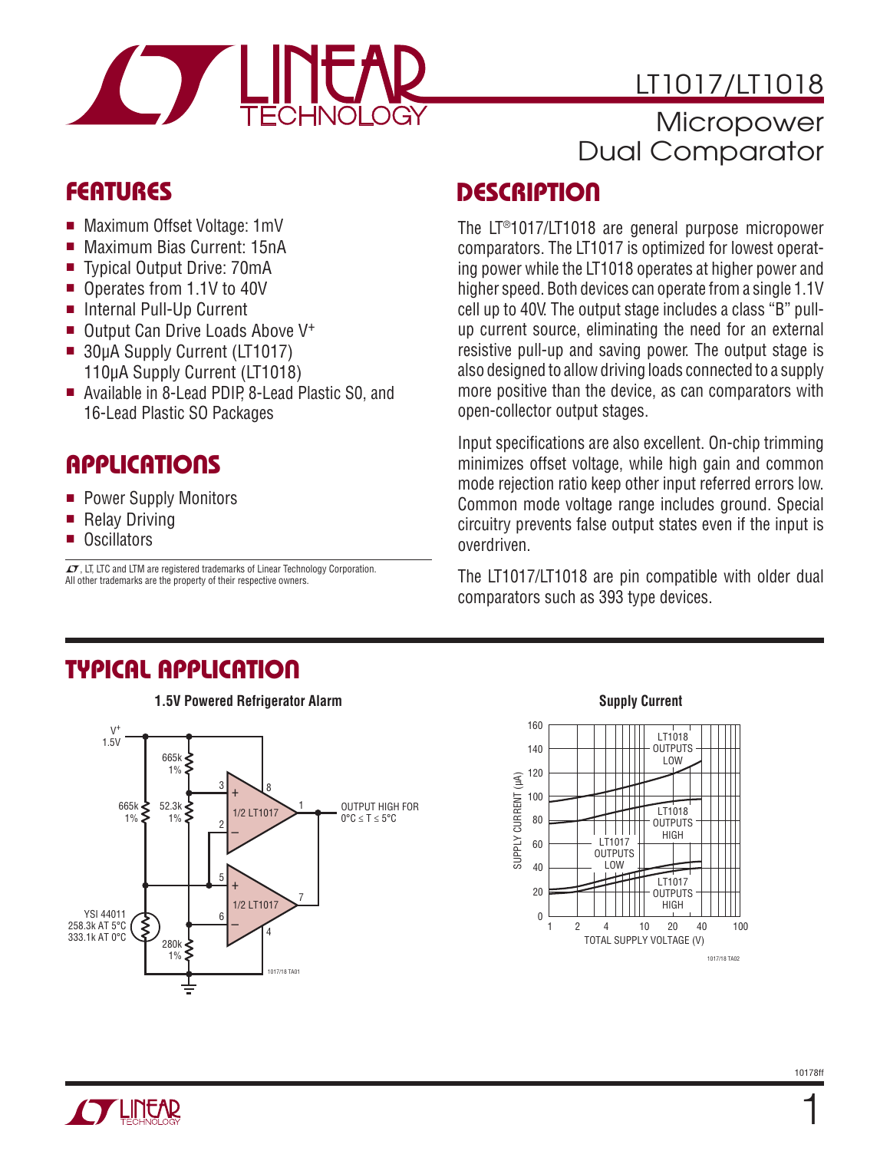

## **Micropower** Dual Comparator

## **FEATURES**

- Maximum Offset Voltage: 1mV
- Maximum Bias Current: 15nA
- Typical Output Drive: 70mA
- Operates from 1.1V to 40V
- Internal Pull-Up Current
- $\blacksquare$  Output Can Drive Loads Above V<sup>+</sup>
- **u** 30μA Supply Current (LT1017) 110μA Supply Current (LT1018)
- Available in 8-Lead PDIP, 8-Lead Plastic S0, and 16-Lead Plastic SO Packages

## **APPLICATIONS**

- **Power Supply Monitors**
- Relay Driving
- Oscillators

 $\sqrt{27}$ , LT, LTC and LTM are registered trademarks of Linear Technology Corporation. All other trademarks are the property of their respective owners.

## **DESCRIPTION**

The LT®1017/LT1018 are general purpose micropower comparators. The LT1017 is optimized for lowest operating power while the LT1018 operates at higher power and higher speed. Both devices can operate from a single 1.1V cell up to 40V. The output stage includes a class "B" pullup current source, eliminating the need for an external resistive pull-up and saving power. The output stage is also designed to allow driving loads connected to a supply more positive than the device, as can comparators with open-collector output stages.

Input specifications are also excellent. On-chip trimming minimizes offset voltage, while high gain and common mode rejection ratio keep other input referred errors low. Common mode voltage range includes ground. Special circuitry prevents false output states even if the input is overdriven.

The LT1017/LT1018 are pin compatible with older dual comparators such as 393 type devices.

### **TYPICAL APPLICATION**



### **Supply Current**





1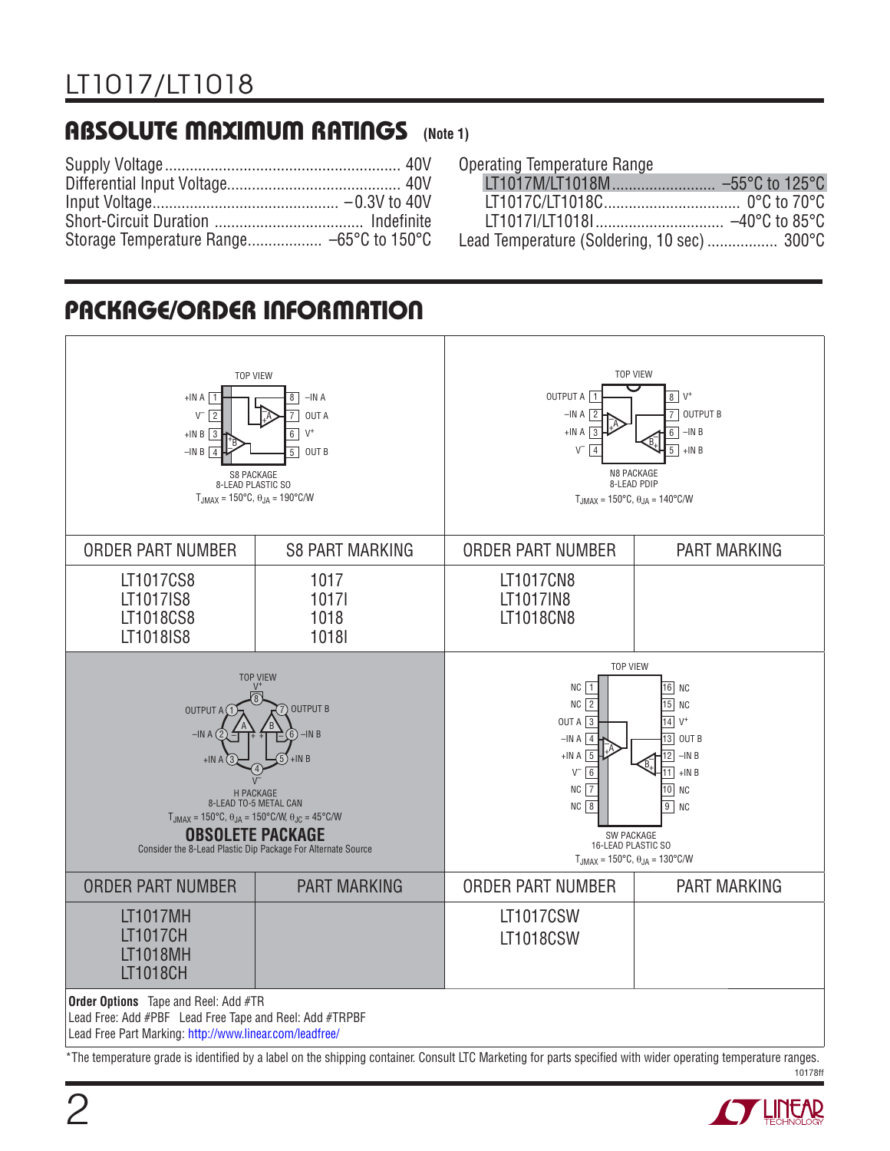### **ABSOLUTE MAXIMUM RATINGS (Note 1)**

### Operating Temperature Range

| Lead Temperature (Soldering, 10 sec) 300°C |  |
|--------------------------------------------|--|

### **PACKAGE/ORDER INFORMATION**



10178ff \*The temperature grade is identified by a label on the shipping container. Consult LTC Marketing for parts specified with wider operating temperature ranges.

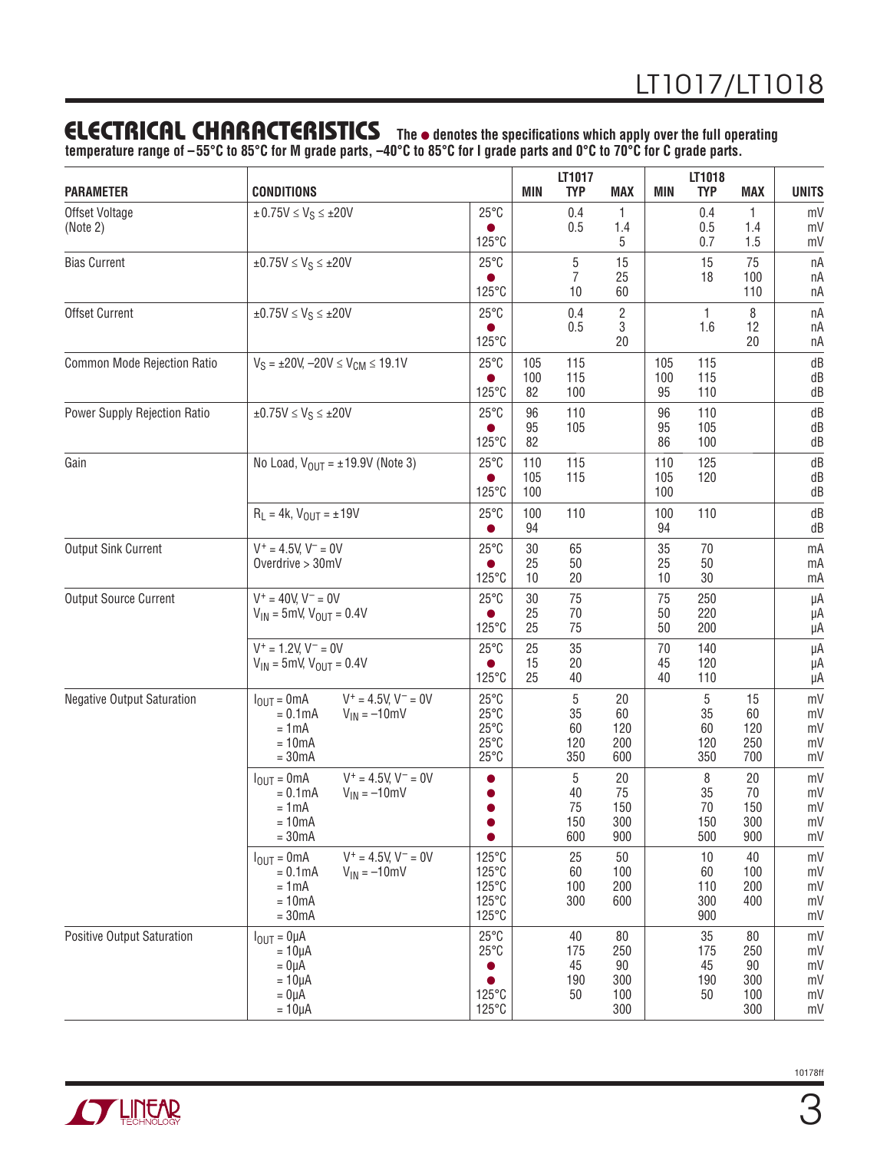### **ELECTRICAL CHARACTERISTICS** The  $\bullet$  denotes the specifications which apply over the full operating

**temperature range of –55°C to 85°C for M grade parts, –40°C to 85°C for I grade parts and 0°C to 70°C for C grade parts.**

| <b>PARAMETER</b>                  | <b>CONDITIONS</b>                                                                                                                 |                                                                                        | <b>MIN</b>        | LT1017<br><b>TYP</b>                | <b>MAX</b>                           | <b>MIN</b>        | LT1018<br><b>TYP</b>          | <b>MAX</b>                           | <b>UNITS</b>                     |
|-----------------------------------|-----------------------------------------------------------------------------------------------------------------------------------|----------------------------------------------------------------------------------------|-------------------|-------------------------------------|--------------------------------------|-------------------|-------------------------------|--------------------------------------|----------------------------------|
| Offset Voltage<br>(Note 2)        | $\pm 0.75V \leq V_S \leq \pm 20V$                                                                                                 | $25^{\circ}$ C<br>125°C                                                                |                   | 0.4<br>0.5                          | $\mathbf{1}$<br>1.4<br>5             |                   | 0.4<br>0.5<br>0.7             | $\mathbf{1}$<br>1.4<br>1.5           | mV<br>mV<br>mV                   |
| <b>Bias Current</b>               | $\pm 0.75V \leq V_S \leq \pm 20V$                                                                                                 | $25^{\circ}$ C<br>125°C                                                                |                   | $\mathbf 5$<br>$\overline{7}$<br>10 | 15<br>25<br>60                       |                   | 15<br>18                      | 75<br>100<br>110                     | nA<br>nA<br>пA                   |
| Offset Current                    | $\pm 0.75V \leq V_S \leq \pm 20V$                                                                                                 | $25^{\circ}$ C<br>●<br>125°C                                                           |                   | 0.4<br>0.5                          | $\overline{c}$<br>3<br>20            |                   | 1<br>1.6                      | 8<br>12<br>20                        | nA<br>nA<br>nA                   |
| Common Mode Rejection Ratio       | $V_S = \pm 20V$ , $-20V \le V_{CM} \le 19.1V$                                                                                     | $25^{\circ}$ C<br>125°C                                                                | 105<br>100<br>82  | 115<br>115<br>100                   |                                      | 105<br>100<br>95  | 115<br>115<br>110             |                                      | dB<br>dB<br>dB                   |
| Power Supply Rejection Ratio      | $\pm 0.75V \leq V_S \leq \pm 20V$                                                                                                 | $25^{\circ}$ C<br>125°C                                                                | 96<br>95<br>82    | 110<br>105                          |                                      | 96<br>95<br>86    | 110<br>105<br>100             |                                      | dB<br>dB<br>dB                   |
| Gain                              | No Load, $V_{OUT} = \pm 19.9V$ (Note 3)                                                                                           | $25^{\circ}$ C<br>125°C                                                                | 110<br>105<br>100 | 115<br>115                          |                                      | 110<br>105<br>100 | 125<br>120                    |                                      | dB<br>dB<br>dB                   |
|                                   | $R_L = 4k$ , $V_{OUT} = \pm 19V$                                                                                                  | $25^{\circ}$ C<br>●                                                                    | 100<br>94         | 110                                 |                                      | 100<br>94         | 110                           |                                      | dB<br>dB                         |
| <b>Output Sink Current</b>        | $V^+ = 4.5V, V^- = 0V$<br>Overdrive $>$ 30mV                                                                                      | $25^{\circ}$ C<br>$125^{\circ}$ C                                                      | 30<br>25<br>10    | 65<br>50<br>20                      |                                      | 35<br>25<br>10    | 70<br>50<br>30                |                                      | mA<br>mA<br>mA                   |
| <b>Output Source Current</b>      | $V^+ = 40V, V^- = 0V$<br>$V_{IN}$ = 5mV, $V_{OUT}$ = 0.4V                                                                         | $25^{\circ}$ C<br>$125^{\circ}$ C                                                      | 30<br>25<br>25    | 75<br>70<br>75                      |                                      | 75<br>50<br>50    | 250<br>220<br>200             |                                      | μA<br>μA<br>μA                   |
|                                   | $V^+ = 1.2V, V^- = 0V$<br>$V_{IN}$ = 5mV, $V_{OUT}$ = 0.4V                                                                        | $25^{\circ}$ C<br>125°C                                                                | 25<br>15<br>25    | 35<br>20<br>40                      |                                      | 70<br>45<br>40    | 140<br>120<br>110             |                                      | μA<br>μA<br>μA                   |
| <b>Negative Output Saturation</b> | $V^+ = 4.5V, V^- = 0V$<br>$I_{\text{OUT}} = 0 \text{mA}$<br>$V_{IN} = -10$ mV<br>$= 0.1$ m $A$<br>$= 1mA$<br>$= 10mA$<br>$= 30mA$ | $25^{\circ}$ C<br>$25^{\circ}$ C<br>$25^{\circ}$ C<br>$25^{\circ}$ C<br>$25^{\circ}$ C |                   | 5<br>35<br>60<br>120<br>350         | 20<br>60<br>120<br>200<br>600        |                   | 5<br>35<br>60<br>120<br>350   | 15<br>60<br>120<br>250<br>700        | mV<br>mV<br>mV<br>mV<br>mV       |
|                                   | $V^+ = 4.5V$ , $V^- = 0V$<br>$I_{OUT} = 0mA$<br>$= 0.1$ mA<br>$V_{IN} = -10$ mV<br>$= 1mA$<br>$= 10mA$<br>$= 30mA$                |                                                                                        |                   | 5<br>40<br>75<br>150<br>600         | 20<br>75<br>150<br>300<br>900        |                   | 8<br>35<br>70<br>150<br>500   | 20<br>70<br>150<br>300<br>900        | mV<br>mV<br>mV<br>mV<br>mV       |
|                                   | $V^+ = 4.5V, V^- = 0V$<br>$I_{\text{OUT}} = 0 \text{mA}$<br>$= 0.1$ m $A$<br>$V_{IN} = -10$ mV<br>$= 1mA$<br>$= 10mA$<br>$= 30mA$ | 125°C<br>125°C<br>125°C<br>125°C<br>125°C                                              |                   | 25<br>60<br>100<br>300              | 50<br>100<br>200<br>600              |                   | 10<br>60<br>110<br>300<br>900 | 40<br>100<br>200<br>400              | mV<br>mV<br>mV<br>mV<br>mV       |
| <b>Positive Output Saturation</b> | $I_{OUT} = 0 \mu A$<br>$=10\mu A$<br>$= 0 \mu A$<br>$= 10 \mu A$<br>$= 0 \mu A$<br>$= 10 \mu A$                                   | $25^{\circ}$ C<br>$25^{\circ}$ C<br>0<br>$\bullet$<br>125°C<br>125°C                   |                   | 40<br>175<br>45<br>190<br>50        | 80<br>250<br>90<br>300<br>100<br>300 |                   | 35<br>175<br>45<br>190<br>50  | 80<br>250<br>90<br>300<br>100<br>300 | mV<br>mV<br>mV<br>mV<br>mV<br>mV |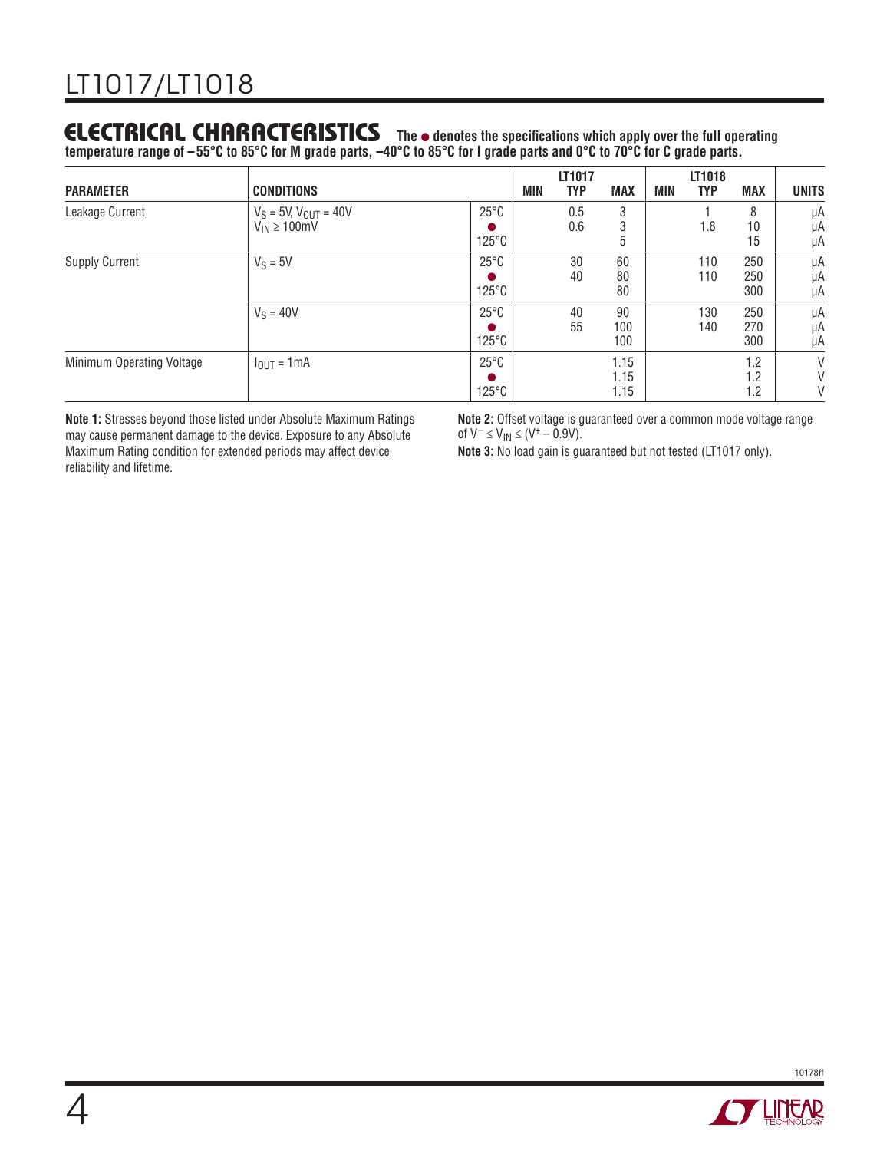### **ELECTRICAL CHARACTERISTICS** The  $\bullet$  denotes the specifications which apply over the full operating

**temperature range of –55°C to 85°C for M grade parts, –40°C to 85°C for I grade parts and 0°C to 70°C for C grade parts.**

| <b>PARAMETER</b>          | <b>CONDITIONS</b>                                   |                                   | MIN | LT1017<br><b>TYP</b> | <b>MAX</b>           | MIN | LT1018<br><b>TYP</b> | <b>MAX</b>        | <b>UNITS</b>   |
|---------------------------|-----------------------------------------------------|-----------------------------------|-----|----------------------|----------------------|-----|----------------------|-------------------|----------------|
| Leakage Current           | $V_S = 5V$ , $V_{OUT} = 40V$<br>$V_{IN} \ge 100$ mV | $25^{\circ}$ C<br>$125^{\circ}$ C |     | 0.5<br>0.6           | 3<br>3<br>b          |     | 1.8                  | 8<br>10<br>15     | μA<br>μA<br>μA |
| <b>Supply Current</b>     | $V_S = 5V$                                          | $25^{\circ}$ C<br>$125^{\circ}$ C |     | 30<br>40             | 60<br>80<br>80       |     | 110<br>110           | 250<br>250<br>300 | μA<br>μA<br>μA |
|                           | $V_S = 40V$                                         | $25^{\circ}$ C<br>$125^{\circ}$ C |     | 40<br>55             | 90<br>100<br>100     |     | 130<br>140           | 250<br>270<br>300 | μA<br>μA<br>μA |
| Minimum Operating Voltage | $I_{\text{OUT}} = 1 \text{mA}$                      | $25^{\circ}$ C<br>$125^{\circ}$ C |     |                      | 1.15<br>1.15<br>1.15 |     |                      | 1.2<br>1.2<br>1.2 | V<br>V<br>V    |

**Note 1:** Stresses beyond those listed under Absolute Maximum Ratings may cause permanent damage to the device. Exposure to any Absolute Maximum Rating condition for extended periods may affect device reliability and lifetime.

**Note 2:** Offset voltage is guaranteed over a common mode voltage range of  $V^- \le V_{1N} \le (V^+ - 0.9V)$ .

**Note 3:** No load gain is guaranteed but not tested (LT1017 only).



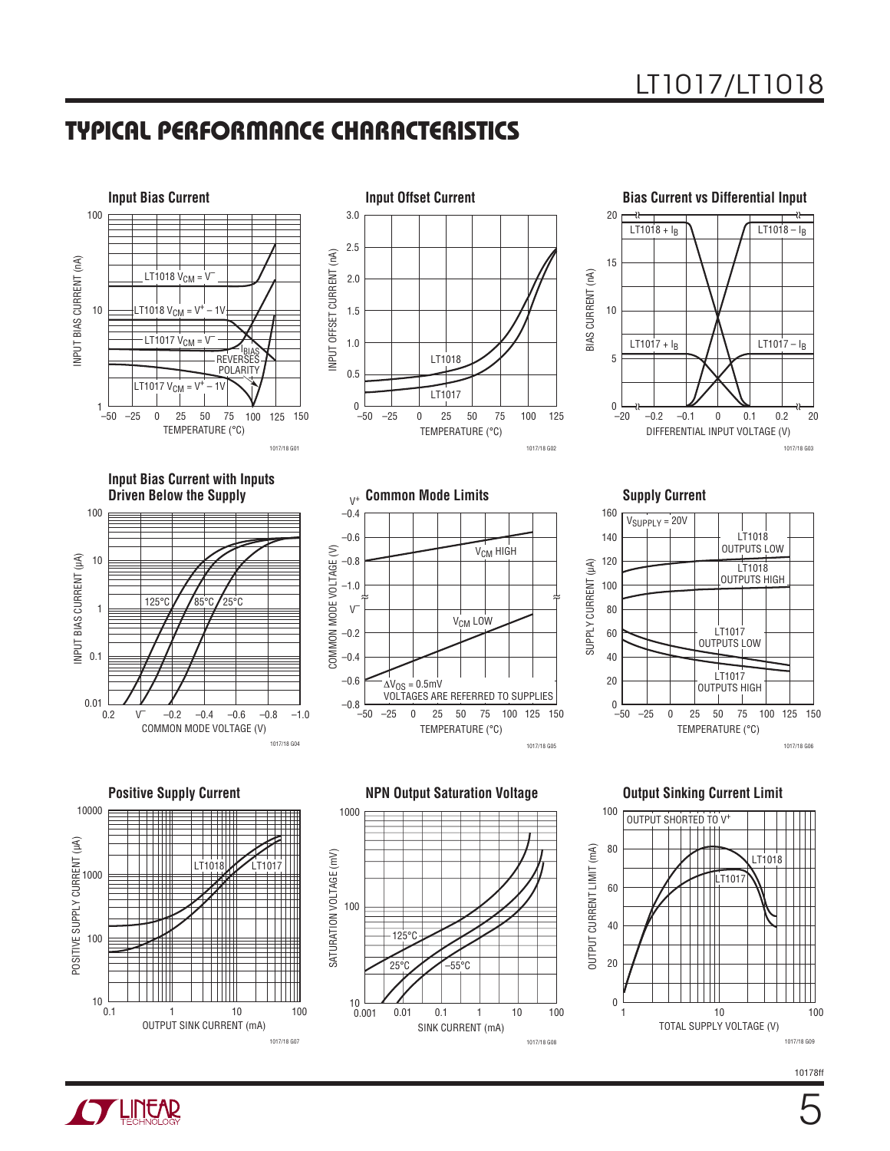### **TYPICAL PERFORMANCE CHARACTERISTICS**



1017/18 G08

10178ff

1017/18 G09



1017/18 G07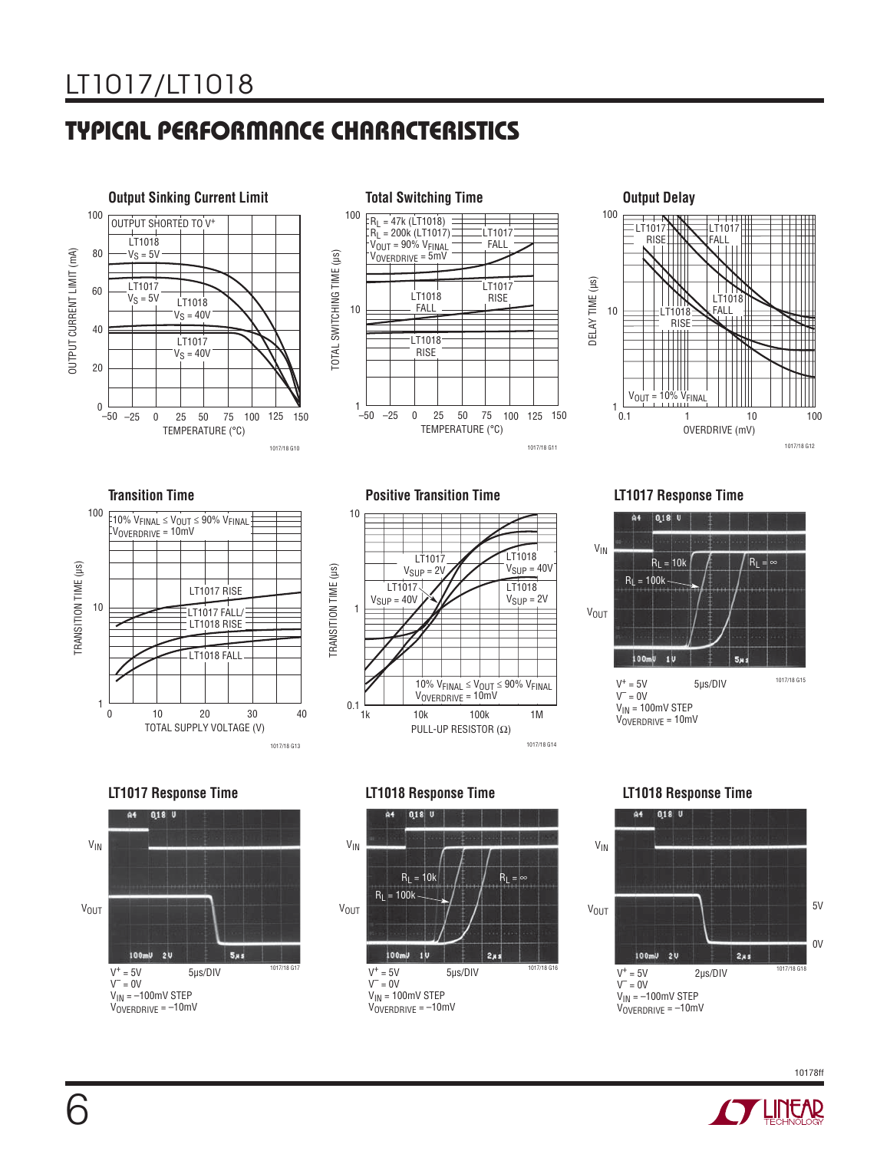# **TYPICAL PERFORMANCE CHARACTERISTICS**









**Transition Time Positive Transition Time LT1017 Response Time**











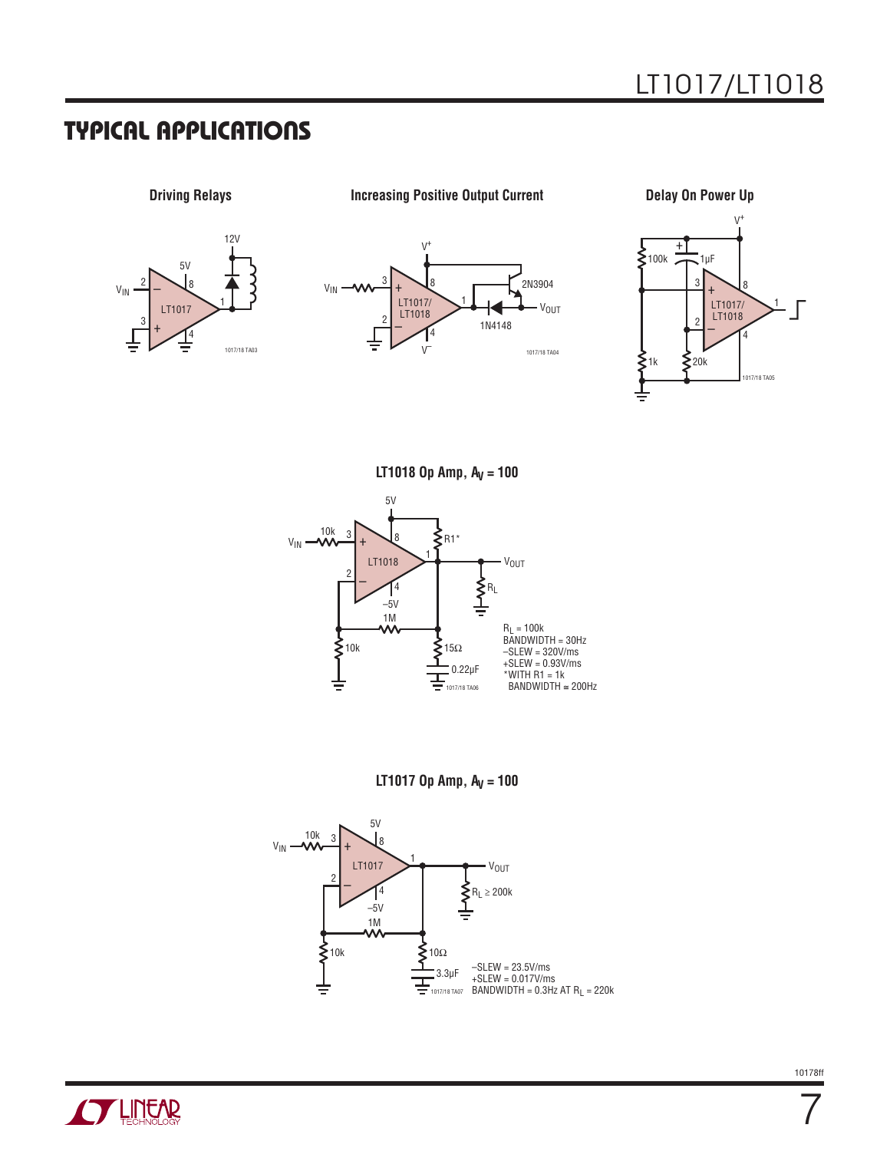

**Driving Relays Constant Current Current Current Current Current Current Current Current Current Current Current Current Current Current Current Current Current Current Current Current Current Current Current Current Curre** 







**LT1018 Op Amp, A<sub>V</sub> = 100** 



**LT1017 Op Amp, A<sub>V</sub> = 100** 





7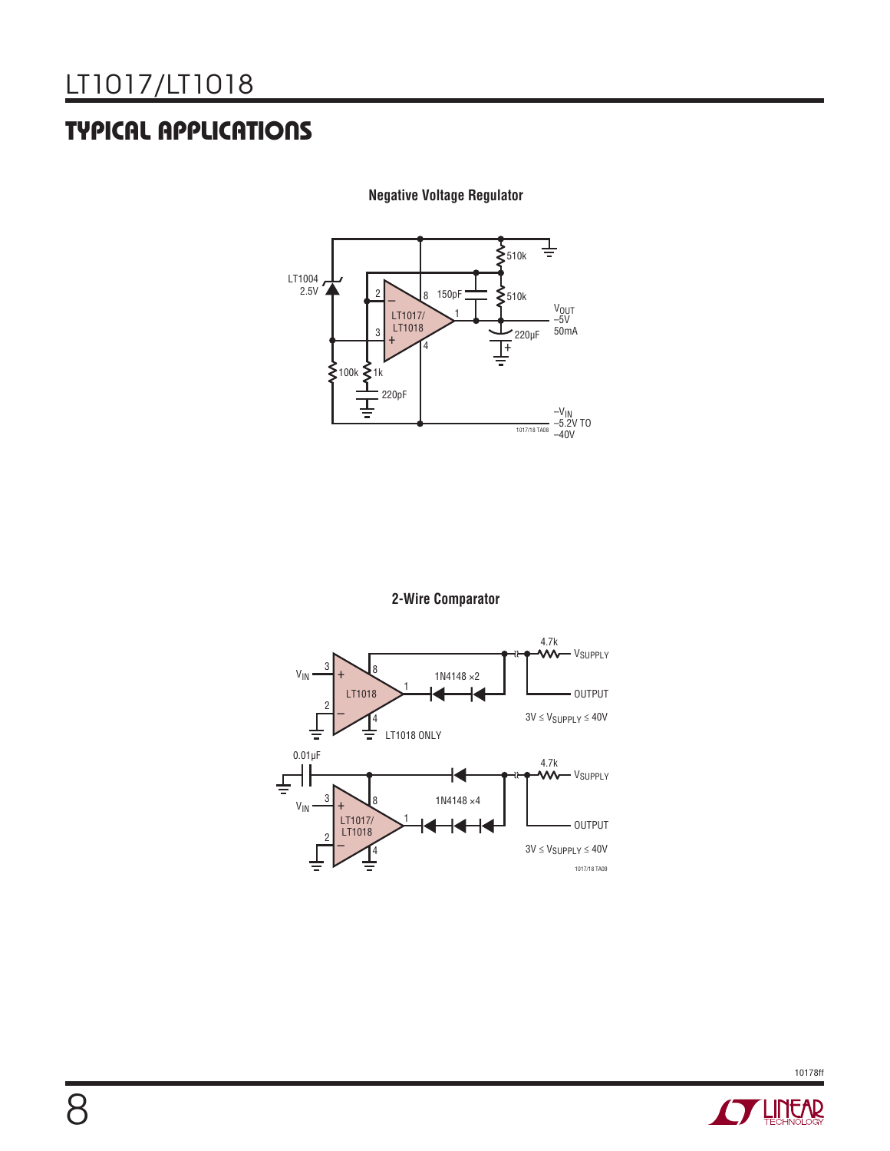

**Negative Voltage Regulator**

**2-Wire Comparator**



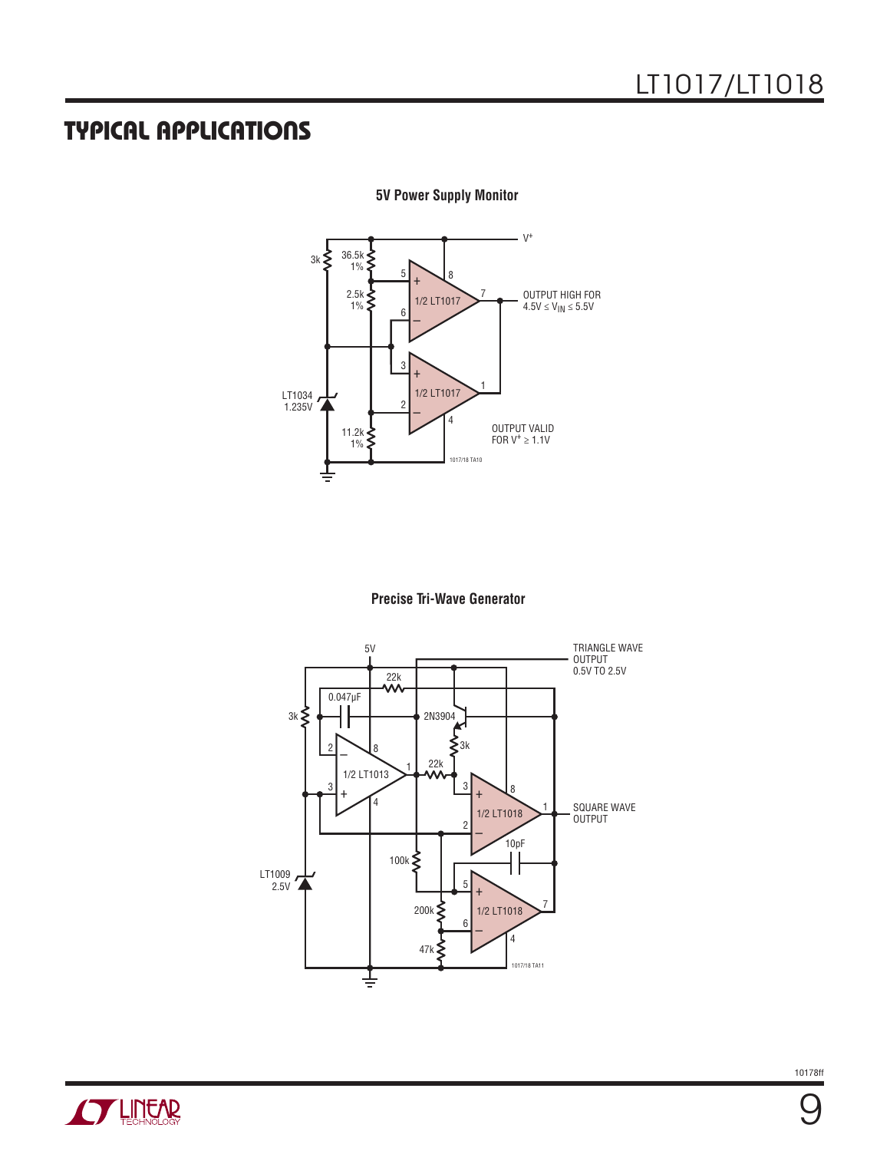

**5V Power Supply Monitor**





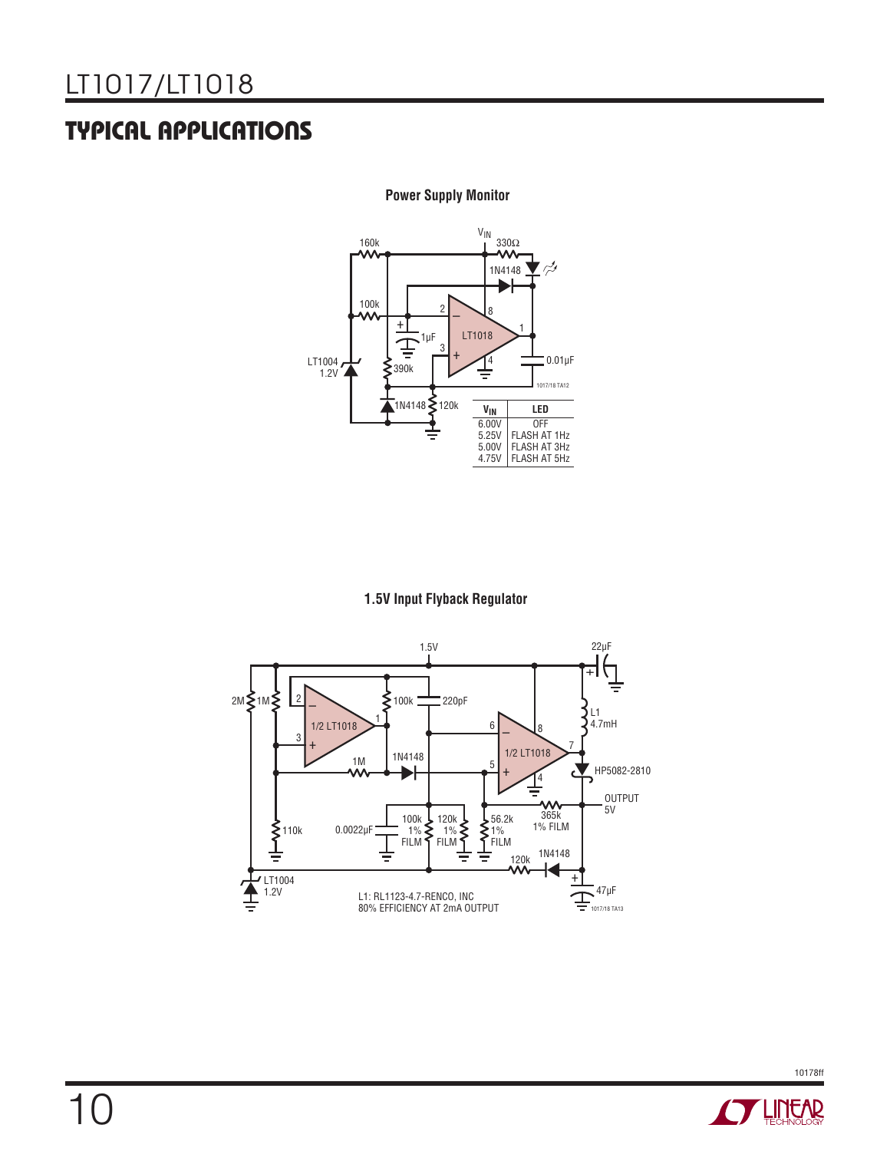

 **Power Supply Monitor**

### **1.5V Input Flyback Regulator**



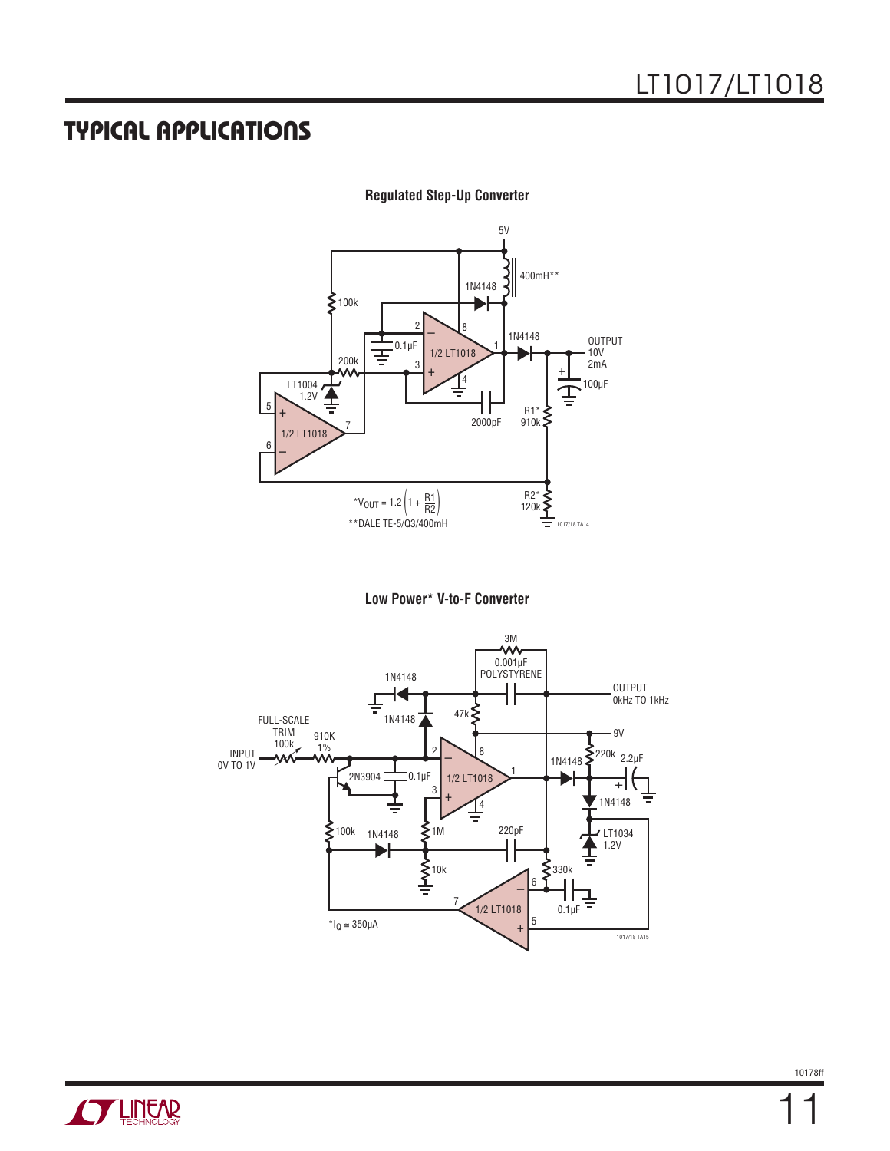

**Regulated Step-Up Converter**





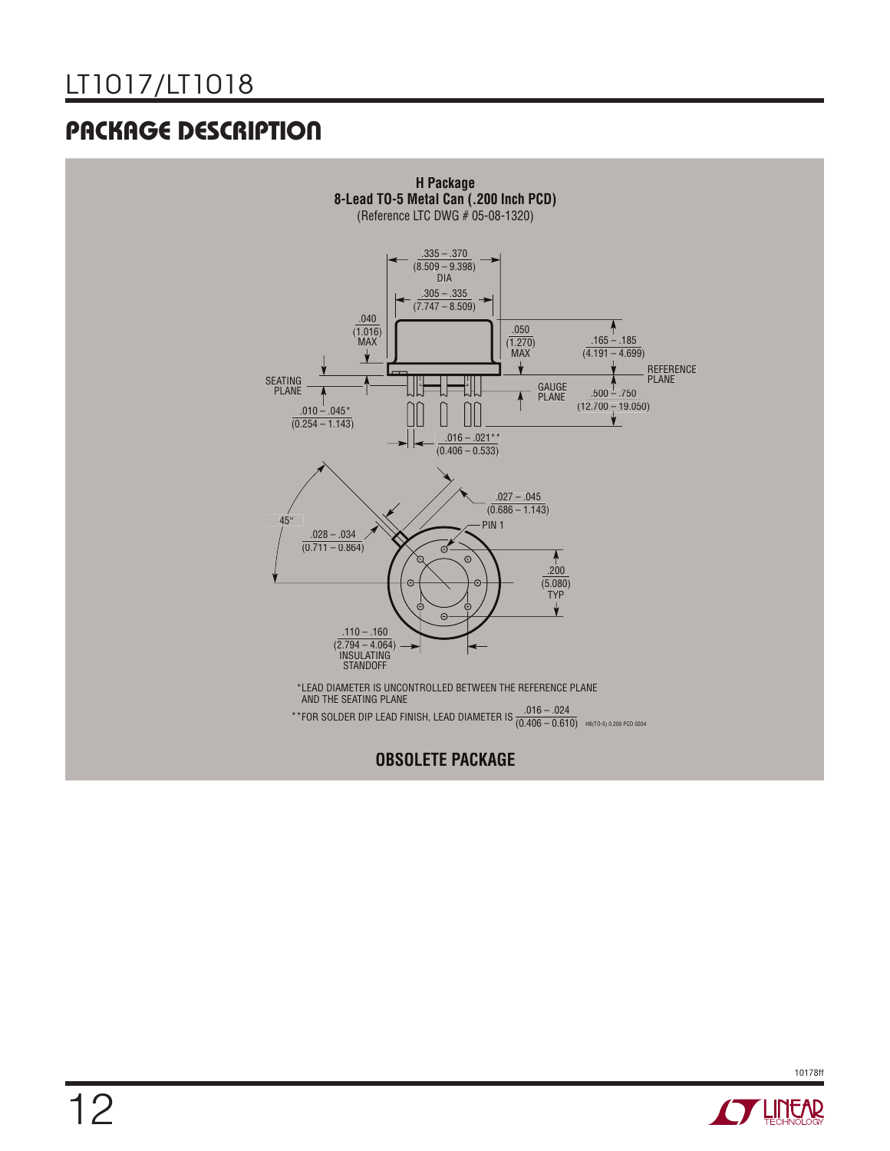## **PACKAGE DESCRIPTION**



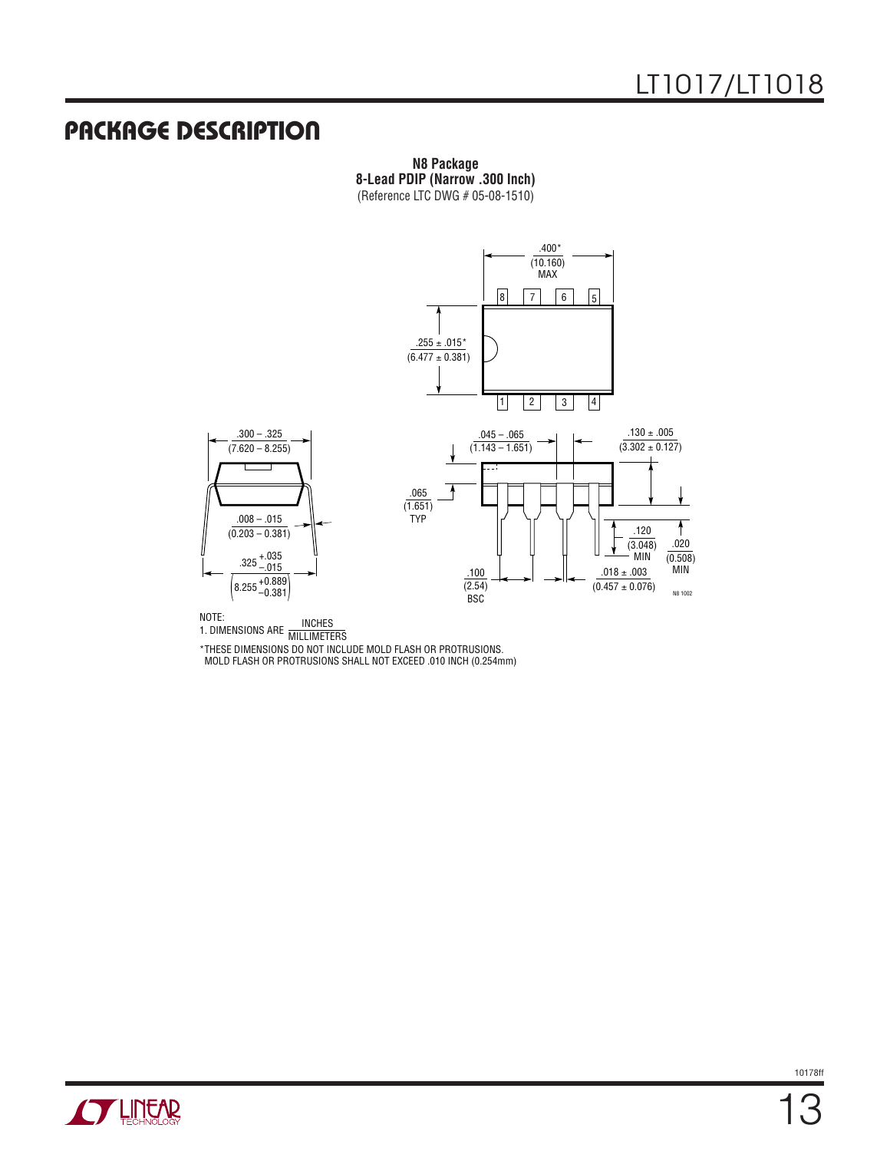### **PACKAGE DESCRIPTION**

**N8 Package 8-Lead PDIP (Narrow .300 Inch)** (Reference LTC DWG # 05-08-1510)



NOTE:

NOTE:<br>1. DIMENSIONS ARE MILLIMETERS

\*THESE DIMENSIONS DO NOT INCLUDE MOLD FLASH OR PROTRUSIONS.

MOLD FLASH OR PROTRUSIONS SHALL NOT EXCEED .010 INCH (0.254mm)

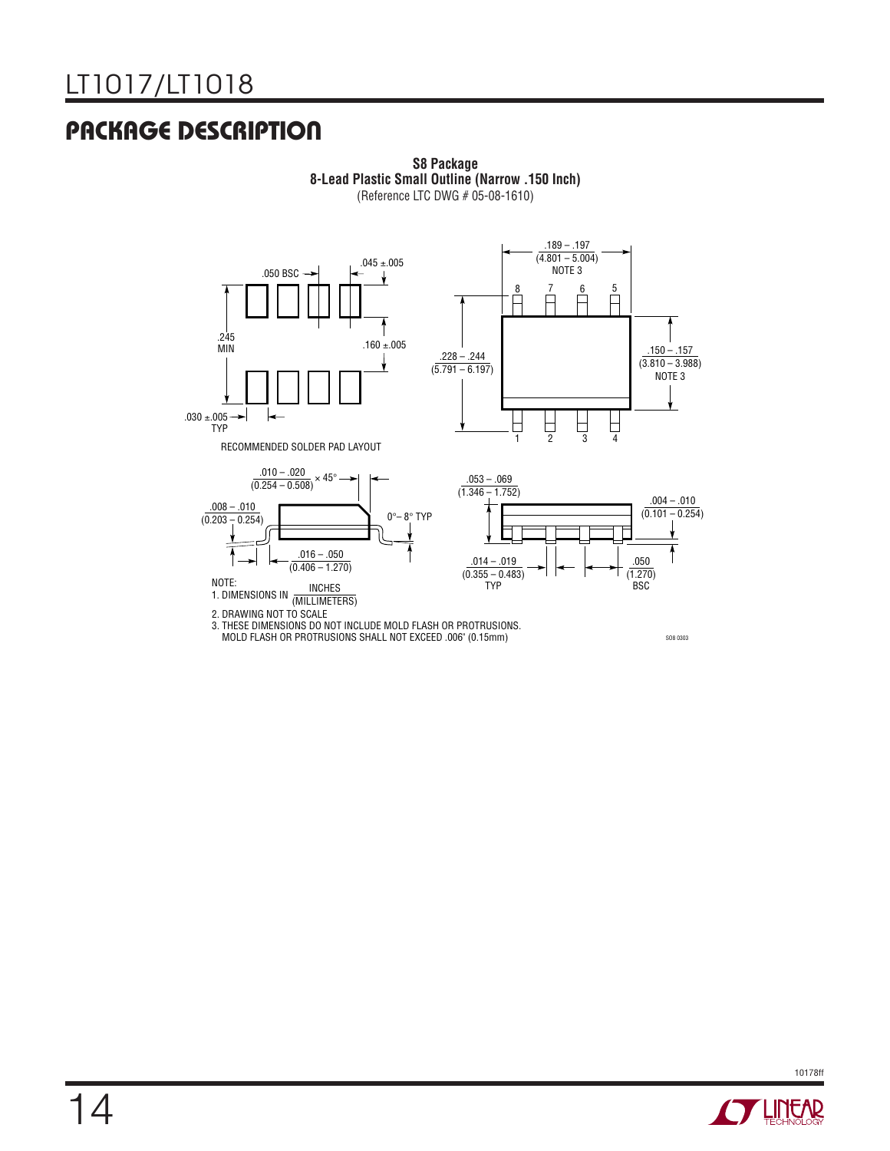# **PACKAGE DESCRIPTION**



**S8 Package 8-Lead Plastic Small Outline (Narrow .150 Inch)** (Reference LTC DWG # 05-08-1610)



3. THESE DIMENSIONS DO NOT INCLUDE MOLD FLASH OR PROTRUSIONS. MOLD FLASH OR PROTRUSIONS SHALL NOT EXCEED .006" (0.15mm)

SO8 0303

10178ff **STARTED BY LINEAR**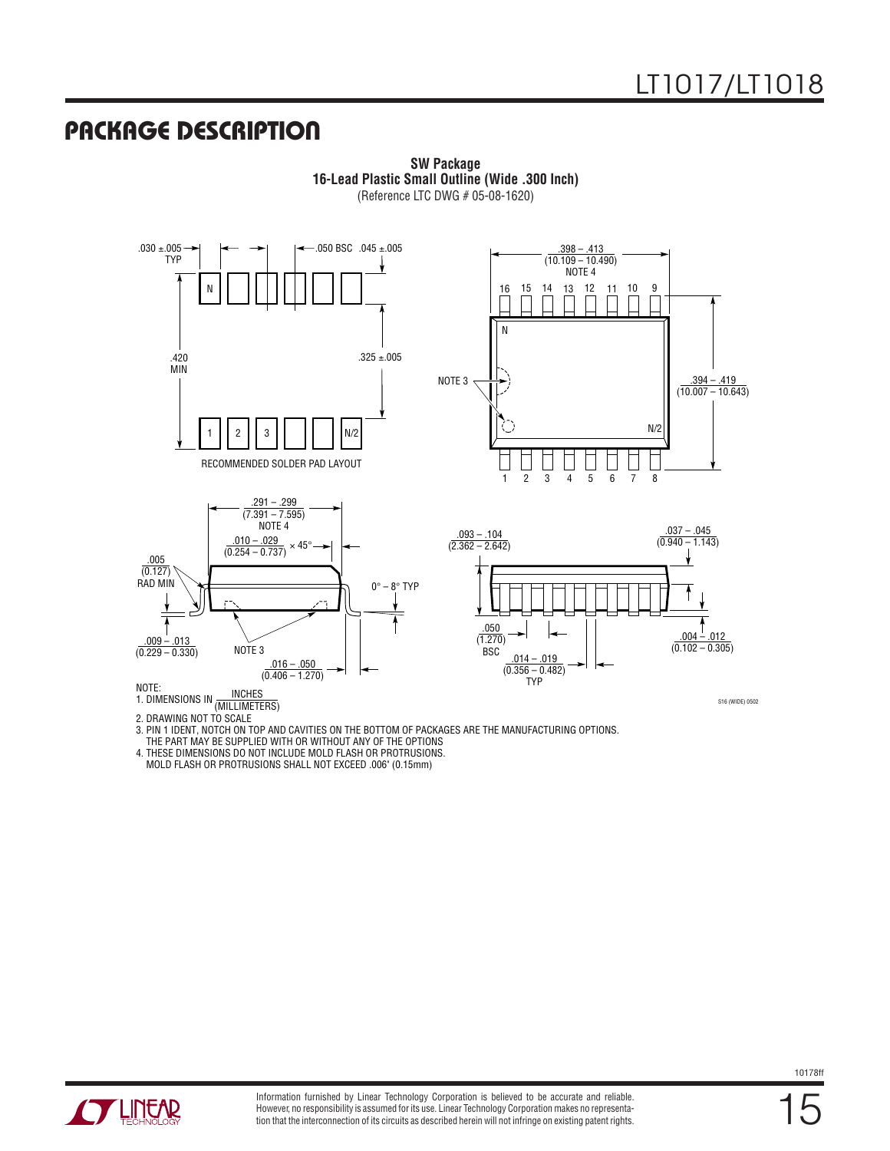### **PACKAGE DESCRIPTION**



**SW Package 16-Lead Plastic Small Outline (Wide .300 Inch)** (Reference LTC DWG # 05-08-1620)

(MILLIMETERS) 1. DIMENSIONS IN

2. DRAWING NOT TO SCALE

3. PIN 1 IDENT, NOTCH ON TOP AND CAVITIES ON THE BOTTOM OF PACKAGES ARE THE MANUFACTURING OPTIONS.

THE PART MAY BE SUPPLIED WITH OR WITHOUT ANY OF THE OPTIONS

4. THESE DIMENSIONS DO NOT INCLUDE MOLD FLASH OR PROTRUSIONS.

MOLD FLASH OR PROTRUSIONS SHALL NOT EXCEED .006" (0.15mm)